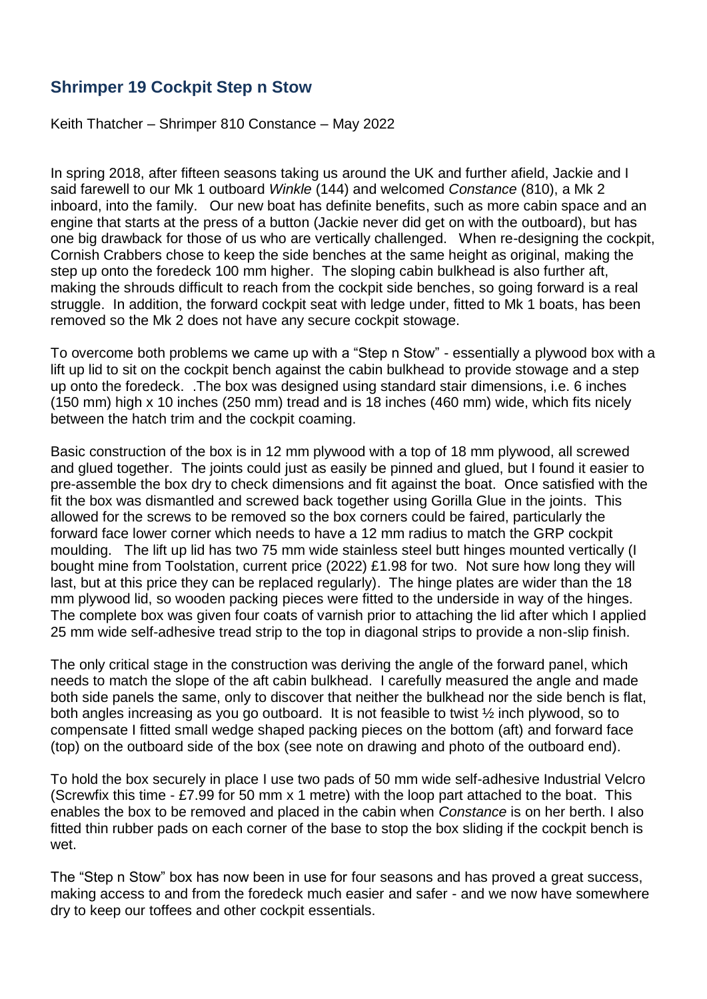## **Shrimper 19 Cockpit Step n Stow**

Keith Thatcher – Shrimper 810 Constance – May 2022

In spring 2018, after fifteen seasons taking us around the UK and further afield, Jackie and I said farewell to our Mk 1 outboard *Winkle* (144) and welcomed *Constance* (810), a Mk 2 inboard, into the family. Our new boat has definite benefits, such as more cabin space and an engine that starts at the press of a button (Jackie never did get on with the outboard), but has one big drawback for those of us who are vertically challenged. When re-designing the cockpit, Cornish Crabbers chose to keep the side benches at the same height as original, making the step up onto the foredeck 100 mm higher. The sloping cabin bulkhead is also further aft, making the shrouds difficult to reach from the cockpit side benches, so going forward is a real struggle. In addition, the forward cockpit seat with ledge under, fitted to Mk 1 boats, has been removed so the Mk 2 does not have any secure cockpit stowage.

To overcome both problems we came up with a "Step n Stow" - essentially a plywood box with a lift up lid to sit on the cockpit bench against the cabin bulkhead to provide stowage and a step up onto the foredeck. .The box was designed using standard stair dimensions, i.e. 6 inches (150 mm) high x 10 inches (250 mm) tread and is 18 inches (460 mm) wide, which fits nicely between the hatch trim and the cockpit coaming.

Basic construction of the box is in 12 mm plywood with a top of 18 mm plywood, all screwed and glued together. The joints could just as easily be pinned and glued, but I found it easier to pre-assemble the box dry to check dimensions and fit against the boat. Once satisfied with the fit the box was dismantled and screwed back together using Gorilla Glue in the joints. This allowed for the screws to be removed so the box corners could be faired, particularly the forward face lower corner which needs to have a 12 mm radius to match the GRP cockpit moulding. The lift up lid has two 75 mm wide stainless steel butt hinges mounted vertically (I bought mine from Toolstation, current price (2022) £1.98 for two. Not sure how long they will last, but at this price they can be replaced regularly). The hinge plates are wider than the 18 mm plywood lid, so wooden packing pieces were fitted to the underside in way of the hinges. The complete box was given four coats of varnish prior to attaching the lid after which I applied 25 mm wide self-adhesive tread strip to the top in diagonal strips to provide a non-slip finish.

The only critical stage in the construction was deriving the angle of the forward panel, which needs to match the slope of the aft cabin bulkhead. I carefully measured the angle and made both side panels the same, only to discover that neither the bulkhead nor the side bench is flat, both angles increasing as you go outboard. It is not feasible to twist ½ inch plywood, so to compensate I fitted small wedge shaped packing pieces on the bottom (aft) and forward face (top) on the outboard side of the box (see note on drawing and photo of the outboard end).

To hold the box securely in place I use two pads of 50 mm wide self-adhesive Industrial Velcro (Screwfix this time - £7.99 for 50 mm x 1 metre) with the loop part attached to the boat. This enables the box to be removed and placed in the cabin when *Constance* is on her berth. I also fitted thin rubber pads on each corner of the base to stop the box sliding if the cockpit bench is wet.

The "Step n Stow" box has now been in use for four seasons and has proved a great success, making access to and from the foredeck much easier and safer - and we now have somewhere dry to keep our toffees and other cockpit essentials.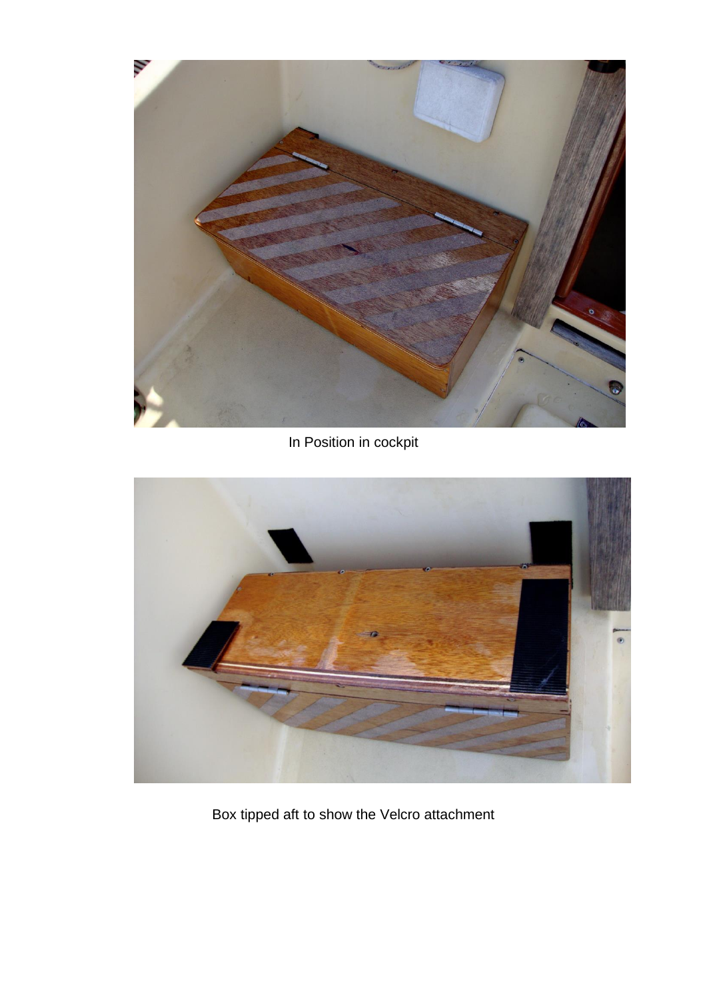

In Position in cockpit



Box tipped aft to show the Velcro attachment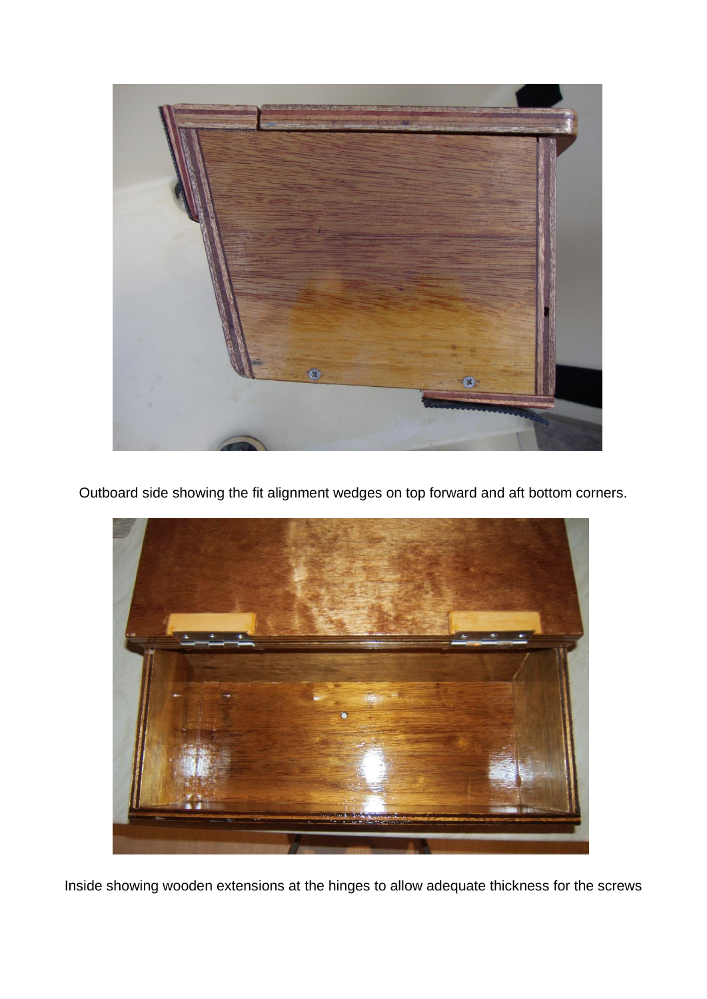

Outboard side showing the fit alignment wedges on top forward and aft bottom corners.



Inside showing wooden extensions at the hinges to allow adequate thickness for the screws